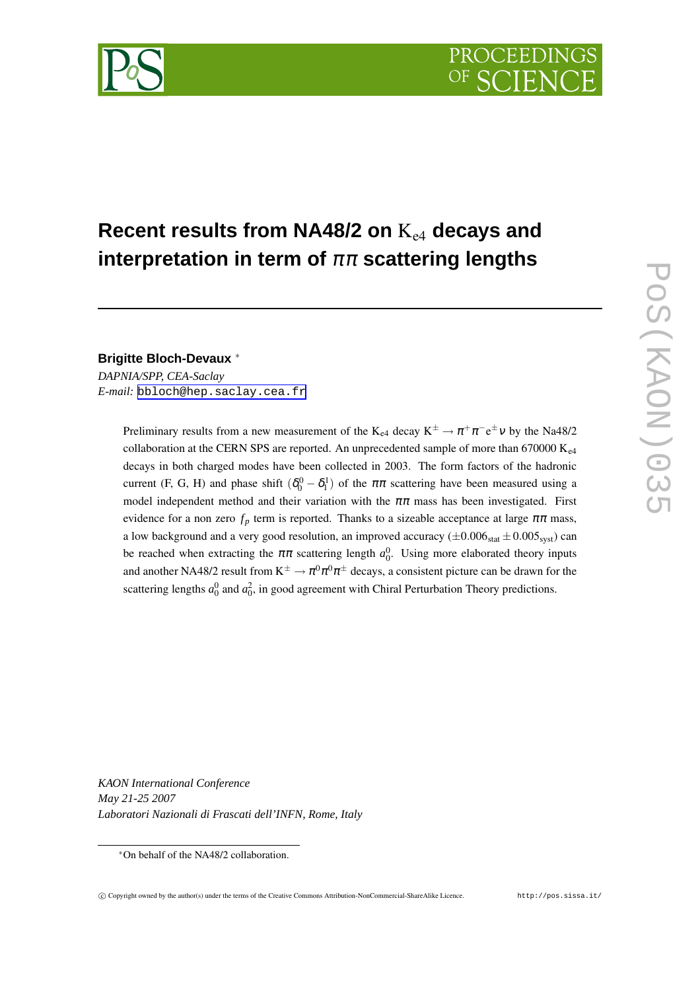

# **Recent results from NA48/2 on** Ke4 **decays and interpretation in term of** ππ **scattering lengths**

**Brigitte Bloch-Devaux** ∗

*DAPNIA/SPP, CEA-Saclay E-mail:* [bbloch@hep.saclay.cea.fr](mailto:bbloch@hep.saclay.cea.fr)

> Preliminary results from a new measurement of the K<sub>e4</sub> decay  $K^{\pm} \to \pi^+ \pi^- e^{\pm} \nu$  by the Na48/2 collaboration at the CERN SPS are reported. An unprecedented sample of more than 670000  $K_{e4}$ decays in both charged modes have been collected in 2003. The form factors of the hadronic current (F, G, H) and phase shift  $(\delta_0^0 - \delta_1^1)$  of the  $\pi\pi$  scattering have been measured using a model independent method and their variation with the  $\pi\pi$  mass has been investigated. First evidence for a non zero  $f_p$  term is reported. Thanks to a sizeable acceptance at large  $\pi\pi$  mass, a low background and a very good resolution, an improved accuracy ( $\pm 0.006_{stat} \pm 0.005_{syst}$ ) can be reached when extracting the  $\pi\pi$  scattering length  $a_0^0$ . Using more elaborated theory inputs and another NA48/2 result from  $K^{\pm} \to \pi^0 \pi^0 \pi^{\pm}$  decays, a consistent picture can be drawn for the scattering lengths  $a_0^0$  and  $a_0^2$ , in good agreement with Chiral Perturbation Theory predictions.

*KAON International Conference May 21-25 2007 Laboratori Nazionali di Frascati dell'INFN, Rome, Italy*

<sup>∗</sup>On behalf of the NA48/2 collaboration.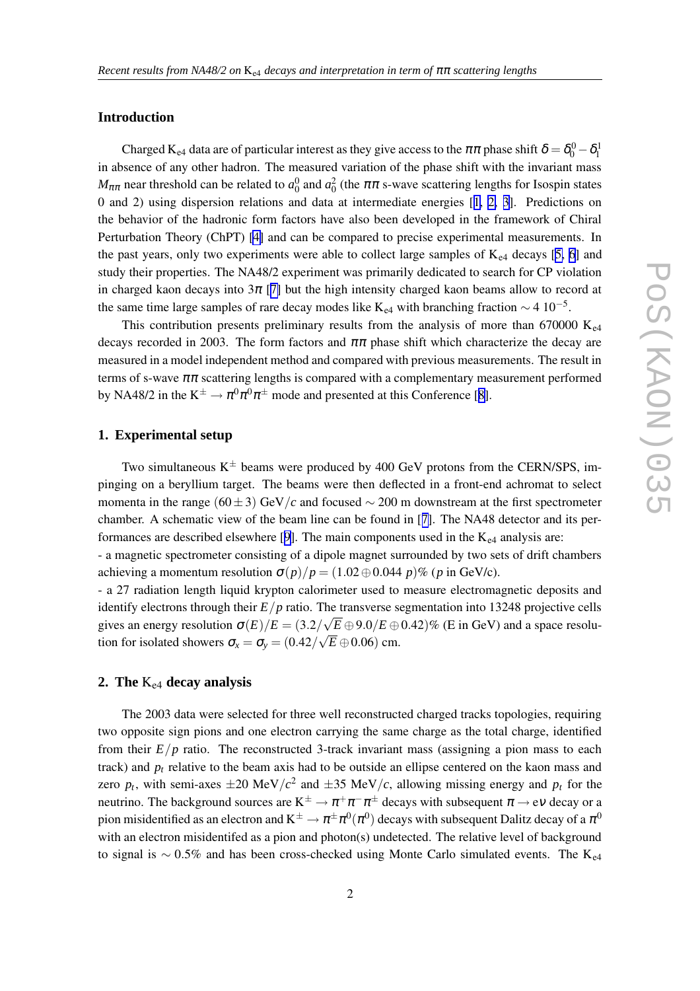# **Introduction**

Charged K<sub>e4</sub> data are of particular interest as they give access to the  $\pi\pi$  phase shift  $\delta = \delta_0^0 - \delta_1^1$ in absence of any other hadron. The measured variation of the phase shift with the invariant mass *M*<sub>ππ</sub> near threshold can be related to *a*<sup>0</sup><sub>0</sub> and *a*<sup>2</sup><sub>0</sub> (the ππ s-wave scattering lengths for Isospin states 0 and 2) using dispersion relations and data at intermediate energies [[1,](#page-4-0) [2,](#page-4-0) [3\]](#page-4-0). Predictions on the behavior of the hadronic form factors have also been developed in the framework of Chiral Perturbation Theory (ChPT) [\[4\]](#page-4-0) and can be compared to precise experimental measurements. In the past years, only two experiments were able to collect large samples of  $K_{e4}$  decays [\[5,](#page-4-0) [6](#page-4-0)] and study their properties. The NA48/2 experiment was primarily dedicated to search for CP violation in charged kaon decays into  $3\pi$  [[7\]](#page-4-0) but the high intensity charged kaon beams allow to record at the same time large samples of rare decay modes like K<sub>e4</sub> with branching fraction  $\sim$  4 10<sup>-5</sup>.

This contribution presents preliminary results from the analysis of more than 670000  $K_{\text{e}4}$ decays recorded in 2003. The form factors and  $\pi\pi$  phase shift which characterize the decay are measured in a model independent method and compared with previous measurements. The result in terms of s-wave  $\pi\pi$  scattering lengths is compared with a complementary measurement performed by NA48/2 in the  $K^{\pm} \to \pi^0 \pi^0 \pi^{\pm}$  mode and presented at this Conference [[8\]](#page-4-0).

## **1. Experimental setup**

Two simultaneous  $K^{\pm}$  beams were produced by 400 GeV protons from the CERN/SPS, impinging on a beryllium target. The beams were then deflected in a front-end achromat to select momenta in the range (60±3) GeV/*c* and focused ∼ 200 m downstream at the first spectrometer chamber. A schematic view of the beam line can be found in [[7\]](#page-4-0). The NA48 detector and its per-formances are described elsewhere [[9\]](#page-4-0). The main components used in the  $K_{e4}$  analysis are:

- a magnetic spectrometer consisting of a dipole magnet surrounded by two sets of drift chambers achieving a momentum resolution  $\sigma(p)/p = (1.02 \oplus 0.044 p)\%$  (*p* in GeV/c).

- a 27 radiation length liquid krypton calorimeter used to measure electromagnetic deposits and identify electrons through their  $E/p$  ratio. The transverse segmentation into 13248 projective cells gives an energy resolution  $\sigma(E)/E = (3.2/\sqrt{E} \oplus 9.0/E \oplus 0.42)\%$  (E in GeV) and a space resolution for isolated showers  $\sigma_x = \sigma_y = (0.42/\sqrt{E} \oplus 0.06)$  cm.

#### **2. The** Ke4 **decay analysis**

The 2003 data were selected for three well reconstructed charged tracks topologies, requiring two opposite sign pions and one electron carrying the same charge as the total charge, identified from their  $E/p$  ratio. The reconstructed 3-track invariant mass (assigning a pion mass to each track) and  $p_t$  relative to the beam axis had to be outside an ellipse centered on the kaon mass and zero  $p_t$ , with semi-axes  $\pm 20 \text{ MeV}/c^2$  and  $\pm 35 \text{ MeV}/c$ , allowing missing energy and  $p_t$  for the neutrino. The background sources are  $K^{\pm} \to \pi^+\pi^-\pi^{\pm}$  decays with subsequent  $\pi \to e\nu$  decay or a pion misidentified as an electron and  $K^\pm\to\pi^\pm\pi^0(\pi^0)$  decays with subsequent Dalitz decay of a  $\pi^0$ with an electron misidentifed as a pion and photon(s) undetected. The relative level of background to signal is ~ 0.5% and has been cross-checked using Monte Carlo simulated events. The K<sub>e4</sub>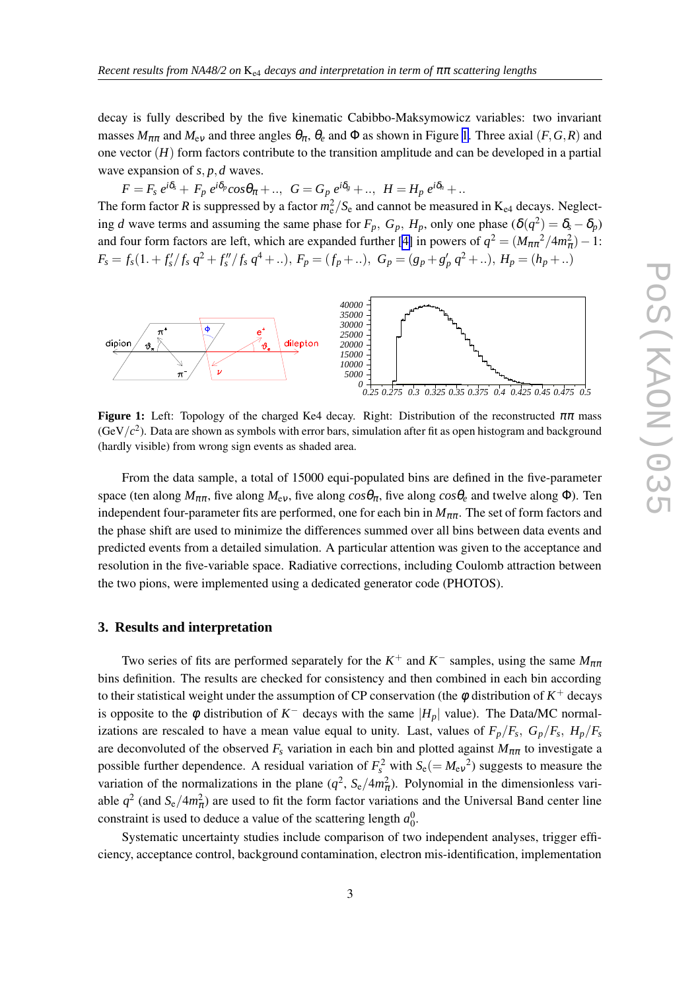decay is fully described by the five kinematic Cabibbo-Maksymowicz variables: two invariant masses  $M_{\pi\pi}$  and  $M_{\text{ev}}$  and three angles  $\theta_{\pi}$ ,  $\theta_{e}$  and  $\Phi$  as shown in Figure 1. Three axial (*F*, *G*, *R*) and one vector (*H*) form factors contribute to the transition amplitude and can be developed in a partial wave expansion of *s*, *p*,*d* waves.

 $F=F_s\,e^{i\delta_s}+\,F_p\,e^{i\delta_p}cos\theta_\pi+\,..,\,\,\,G=G_p\,e^{i\delta_g}+\,..,\,\,\,H=H_p\,e^{i\delta_h}+\,..$ 

The form factor *R* is suppressed by a factor  $m_e^2/S_e$  and cannot be measured in  $K_{e4}$  decays. Neglecting *d* wave terms and assuming the same phase for  $F_p$ ,  $G_p$ ,  $H_p$ , only one phase  $(\delta(q^2)) = \delta_s - \delta_p$ ) and four form factors are left, which are expanded further [\[4\]](#page-4-0) in powers of  $q^2 = (M_{\pi\pi}^2/4m_{\pi}^2) - 1$ :  $F_s = f_s(1. + f'_s/f_s q^2 + f''_s/f_s q^4 + ...)$ ,  $F_p = (f_p + ...)$ ,  $G_p = (g_p + g'_p q^2 + ...)$ ,  $H_p = (h_p + ...)$ 



**Figure 1:** Left: Topology of the charged Ke4 decay. Right: Distribution of the reconstructed  $\pi\pi$  mass (GeV $/c<sup>2</sup>$ ). Data are shown as symbols with error bars, simulation after fit as open histogram and background (hardly visible) from wrong sign events as shaded area.

From the data sample, a total of 15000 equi-populated bins are defined in the five-parameter space (ten along  $M_{\pi\pi}$ , five along  $M_{\text{ev}}$ , five along  $cos\theta_\pi$ , five along  $cos\theta_e$  and twelve along  $\Phi$ ). Ten independent four-parameter fits are performed, one for each bin in  $M_{\pi\pi}$ . The set of form factors and the phase shift are used to minimize the differences summed over all bins between data events and predicted events from a detailed simulation. A particular attention was given to the acceptance and resolution in the five-variable space. Radiative corrections, including Coulomb attraction between the two pions, were implemented using a dedicated generator code (PHOTOS).

# **3. Results and interpretation**

Two series of fits are performed separately for the  $K^+$  and  $K^-$  samples, using the same  $M_{\pi\pi}$ bins definition. The results are checked for consistency and then combined in each bin according to their statistical weight under the assumption of CP conservation (the  $\phi$  distribution of  $K^+$  decays is opposite to the  $\phi$  distribution of  $K^-$  decays with the same  $|H_p|$  value). The Data/MC normalizations are rescaled to have a mean value equal to unity. Last, values of  $F_p/F_s$ ,  $G_p/F_s$ ,  $H_p/F_s$ are deconvoluted of the observed  $F_s$  variation in each bin and plotted against  $M_{\pi\pi}$  to investigate a possible further dependence. A residual variation of  $F_s^2$  with  $S_e (= M_{ev}^2)$  suggests to measure the variation of the normalizations in the plane  $(q^2, S_e/4m_\pi^2)$ . Polynomial in the dimensionless variable  $q^2$  (and  $S_e/4m_\pi^2$ ) are used to fit the form factor variations and the Universal Band center line constraint is used to deduce a value of the scattering length  $a_0^0$ .

Systematic uncertainty studies include comparison of two independent analyses, trigger efficiency, acceptance control, background contamination, electron mis-identification, implementation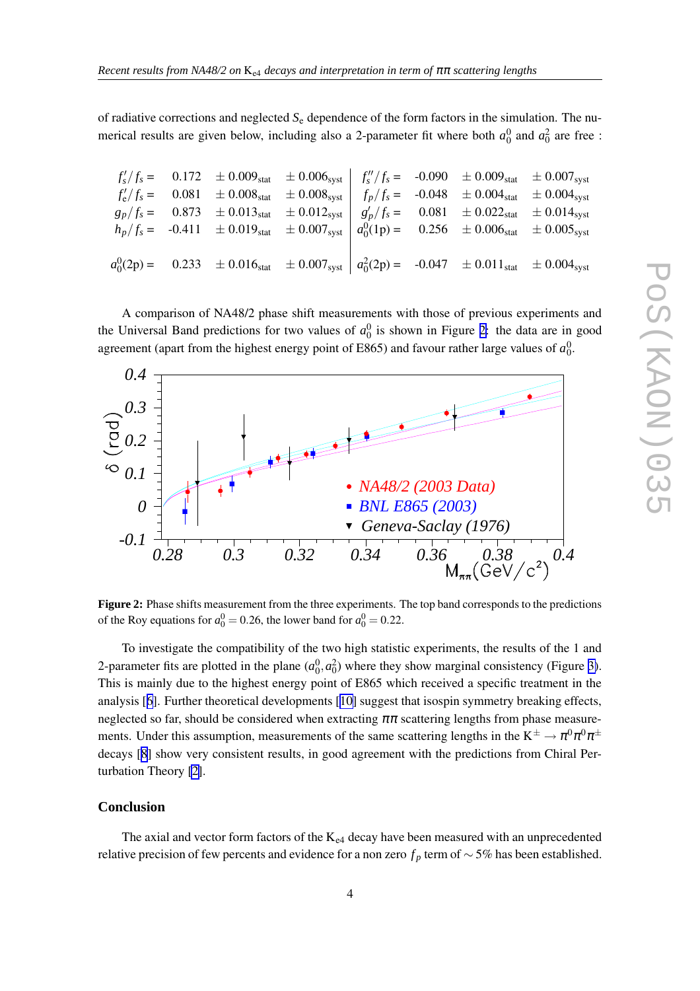of radiative corrections and neglected *S*<sup>e</sup> dependence of the form factors in the simulation. The numerical results are given below, including also a 2-parameter fit where both  $a_0^0$  and  $a_0^2$  are free :

| $f'_s/f_s =$  | $0.172$  | $\pm 0.009_{stat}$ | $\pm 0.006_{syst}$ | $f''_s/f_s =$ | $-0.090$ | $\pm 0.009_{stat}$ | $\pm 0.007_{syst}$ |
|---------------|----------|--------------------|--------------------|---------------|----------|--------------------|--------------------|
| $f'_e/f_s =$  | $0.081$  | $\pm 0.008_{stat}$ | $\pm 0.008_{syst}$ | $f''_s/f_s =$ | $-0.048$ | $\pm 0.004_{stat}$ | $\pm 0.004_{syst}$ |
| $g'_p/f_s =$  | $0.873$  | $\pm 0.013_{stat}$ | $\pm 0.012_{syst}$ | $g'_p/f_s =$  | $-0.048$ | $\pm 0.004_{stat}$ | $\pm 0.004_{syst}$ |
| $h_p/f_s =$   | $-0.411$ | $\pm 0.019_{stat}$ | $\pm 0.007_{syst}$ | $g'_p/f_s =$  | $0.081$  | $\pm 0.022_{stat}$ | $\pm 0.014_{syst}$ |
| $a_0^0(1p) =$ | $0.256$  | $\pm 0.006_{stat}$ | $\pm 0.005_{syst}$ |               |          |                    |                    |
| $a_0^0(2p) =$ | $0.233$  | $\pm 0.016_{stat}$ | $\pm 0.007_{syst}$ | $a_0^2(2p) =$ |          |                    |                    |

A comparison of NA48/2 phase shift measurements with those of previous experiments and the Universal Band predictions for two values of  $a_0^0$  is shown in Figure 2: the data are in good agreement (apart from the highest energy point of E865) and favour rather large values of  $a_0^0$ .



**Figure 2:** Phase shifts measurement from the three experiments. The top band corresponds to the predictions of the Roy equations for  $a_0^0 = 0.26$ , the lower band for  $a_0^0 = 0.22$ .

To investigate the compatibility of the two high statistic experiments, the results of the 1 and 2-parameter fits are plotted in the plane  $(a_0^0, a_0^2)$  where they show marginal consistency (Figure [3\)](#page-4-0). This is mainly due to the highest energy point of E865 which received a specific treatment in the analysis [[6\]](#page-4-0). Further theoretical developments [[10\]](#page-4-0) suggest that isospin symmetry breaking effects, neglected so far, should be considered when extracting  $\pi\pi$  scattering lengths from phase measurements. Under this assumption, measurements of the same scattering lengths in the  $K^{\pm} \to \pi^0 \pi^0 \pi^{\pm}$ decays [[8](#page-4-0)] show very consistent results, in good agreement with the predictions from Chiral Perturbation Theory [\[2\]](#page-4-0).

# **Conclusion**

The axial and vector form factors of the  $K_{e4}$  decay have been measured with an unprecedented relative precision of few percents and evidence for a non zero  $f_p$  term of  $\sim$  5% has been established.